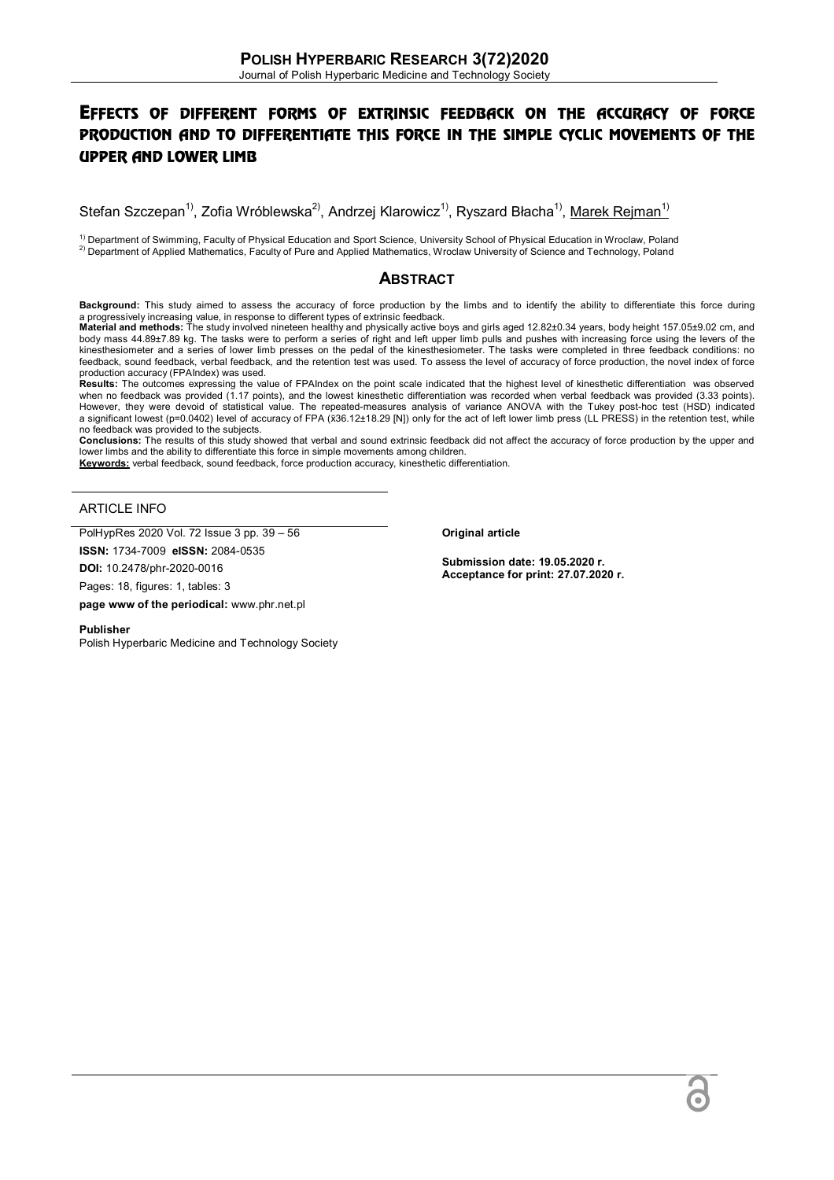# EFFECTS OF DIFFERENT FORMS OF EXTRINSIC FEEDBACK ON THE ACCURACY OF FORCE PRODUCTION AND TO DIFFERENTIATE THIS FORCE IN THE SIMPLE CYCLIC MOVEMENTS OF THE UPPER AND LOWER LIMB

Stefan Szczepan<sup>1)</sup>, Zofia Wróblewska<sup>2)</sup>, Andrzej Klarowicz<sup>1)</sup>, Ryszard Błacha<sup>1)</sup>, Marek Rejman<sup>1)</sup>

<sup>1)</sup> Department of Swimming, Faculty of Physical Education and Sport Science, University School of Physical Education in Wroclaw, Poland 2) Department of Applied Mathematics, Faculty of Pure and Applied Mathematics, Wroclaw University of Science and Technology, Poland

## **ABSTRACT**

**Background:** This study aimed to assess the accuracy of force production by the limbs and to identify the ability to differentiate this force during

a progressively increasing value, in response to different types of extrinsic feedback.<br>**Material and methods:** The study involved nineteen healthy and physically active boys and girls aged 12.82±0.34 years, body height 15 body mass 44.89±7.89 kg. The tasks were to perform a series of right and left upper limb pulls and pushes with increasing force using the levers of the kinesthesiometer and a series of lower limb presses on the pedal of the kinesthesiometer. The tasks were completed in three feedback conditions: no feedback, sound feedback, verbal feedback, and the retention test was used. To assess the level of accuracy of force production, the novel index of force production accuracy (FPAIndex) was used.

**Results:** The outcomes expressing the value of FPAIndex on the point scale indicated that the highest level of kinesthetic differentiation was observed when no feedback was provided (1.17 points), and the lowest kinesthetic differentiation was recorded when verbal feedback was provided (3.33 points). However, they were devoid of statistical value. The repeated-measures analysis of variance ANOVA with the Tukey post-hoc test (HSD) indicated a significant lowest (p=0.0402) level of accuracy of FPA (x̄36.12±18.29 [N]) only for the act of left lower limb press (LL PRESS) in the retention test, while no feedback was provided to the subjects.

**Conclusions:** The results of this study showed that verbal and sound extrinsic feedback did not affect the accuracy of force production by the upper and lower limbs and the ability to differentiate this force in simple movements among children. **Keywords:** verbal feedback, sound feedback, force production accuracy, kinesthetic differentiation.

#### ARTICLE INFO

PolHypRes 2020 Vol. 72 Issue 3 pp. 39 – 56

**ISSN:** 1734-7009 **eISSN:** 2084-0535

**DOI:** 10.2478/phr-2020-0016

Pages: 18, figures: 1, tables: 3

**page www of the periodical:** www.phr.net.pl

**Publisher** 

Polish Hyperbaric Medicine and Technology Society

**Original article**

**Submission date: 19.05.2020 r. Acceptance for print: 27.07.2020 r.**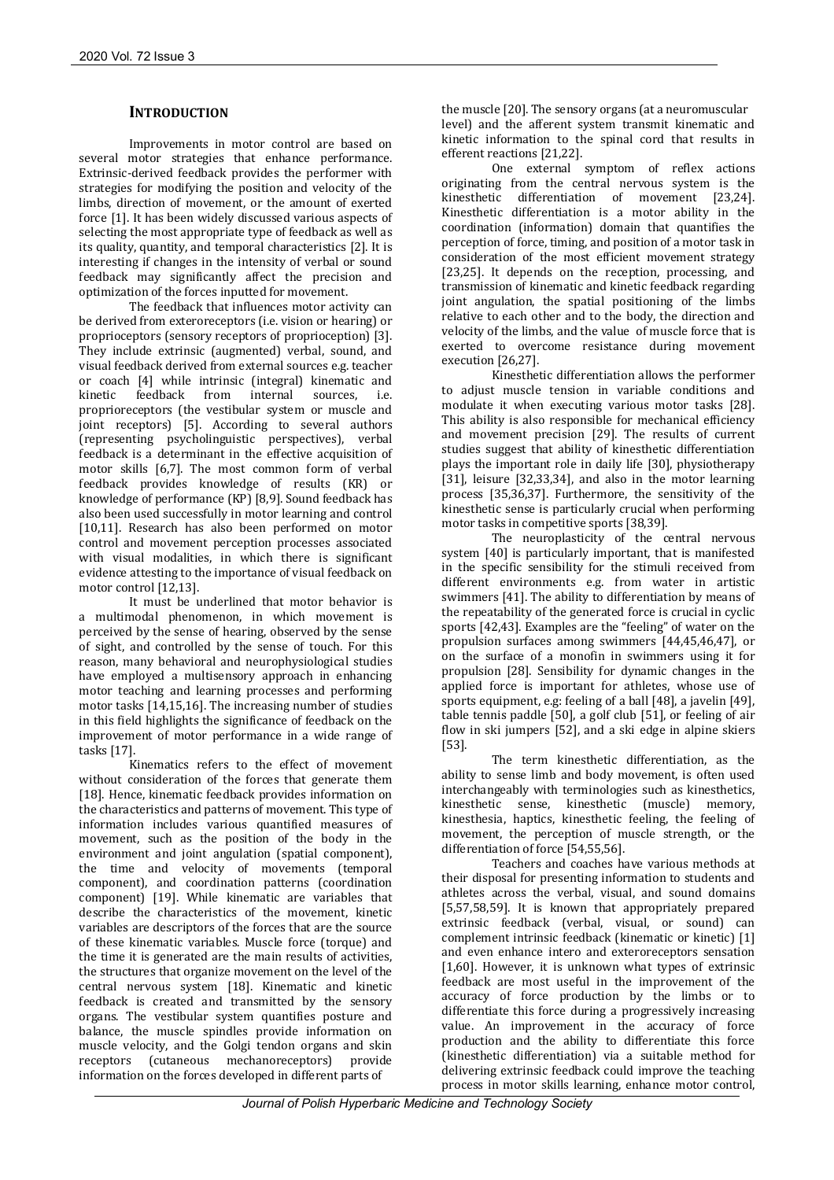## **INTRODUCTION**

Improvements in motor control are based on several motor strategies that enhance performance. Extrinsic-derived feedback provides the performer with strategies for modifying the position and velocity of the limbs, direction of movement, or the amount of exerted force [1]. It has been widely discussed various aspects of selecting the most appropriate type of feedback as well as its quality, quantity, and temporal characteristics [2]. It is interesting if changes in the intensity of verbal or sound feedback may significantly affect the precision and optimization of the forces inputted for movement.

The feedback that influences motor activity can be derived from exteroreceptors (i.e. vision or hearing) or proprioceptors (sensory receptors of proprioception) [3]. They include extrinsic (augmented) verbal, sound, and visual feedback derived from external sources e.g. teacher or coach [4] while intrinsic (integral) kinematic and kinetic feedback from internal sources. i.e. feedback from internal sources, i.e. proprioreceptors (the vestibular system or muscle and joint receptors) [5]. According to several authors (representing psycholinguistic perspectives), verbal feedback is a determinant in the effective acquisition of motor skills [6,7]. The most common form of verbal feedback provides knowledge of results (KR) or knowledge of performance (KP) [8,9]. Sound feedback has also been used successfully in motor learning and control [10,11]. Research has also been performed on motor control and movement perception processes associated with visual modalities, in which there is significant evidence attesting to the importance of visual feedback on motor control [12,13].

It must be underlined that motor behavior is a multimodal phenomenon, in which movement is perceived by the sense of hearing, observed by the sense of sight, and controlled by the sense of touch. For this reason, many behavioral and neurophysiological studies have employed a multisensory approach in enhancing motor teaching and learning processes and performing motor tasks [14,15,16]. The increasing number of studies in this field highlights the significance of feedback on the improvement of motor performance in a wide range of tasks [17].

Kinematics refers to the effect of movement without consideration of the forces that generate them [18]. Hence, kinematic feedback provides information on the characteristics and patterns of movement. This type of information includes various quantified measures of movement, such as the position of the body in the environment and joint angulation (spatial component), the time and velocity of movements (temporal component), and coordination patterns (coordination component) [19]. While kinematic are variables that describe the characteristics of the movement, kinetic variables are descriptors of the forces that are the source of these kinematic variables. Muscle force (torque) and the time it is generated are the main results of activities, the structures that organize movement on the level of the central nervous system [18]. Kinematic and kinetic feedback is created and transmitted by the sensory organs. The vestibular system quantifies posture and balance, the muscle spindles provide information on muscle velocity, and the Golgi tendon organs and skin receptors (cutaneous mechanoreceptors) provide information on the forces developed in different parts of

the muscle [20]. The sensory organs (at a neuromuscular level) and the afferent system transmit kinematic and kinetic information to the spinal cord that results in efferent reactions [21,22].

One external symptom of reflex actions originating from the central nervous system is the<br>kinesthetic differentiation of movement [23.24]. differentiation of movement [23,24]. Kinesthetic differentiation is a motor ability in the coordination (information) domain that quantifies the perception of force, timing, and position of a motor task in consideration of the most efficient movement strategy [23,25]. It depends on the reception, processing, and transmission of kinematic and kinetic feedback regarding joint angulation, the spatial positioning of the limbs relative to each other and to the body, the direction and velocity of the limbs, and the value of muscle force that is exerted to overcome resistance during movement execution [26,27].

Kinesthetic differentiation allows the performer to adjust muscle tension in variable conditions and modulate it when executing various motor tasks [28]. This ability is also responsible for mechanical efficiency and movement precision [29]. The results of current studies suggest that ability of kinesthetic differentiation plays the important role in daily life [30], physiotherapy [31], leisure [32,33,34], and also in the motor learning process [35,36,37]. Furthermore, the sensitivity of the kinesthetic sense is particularly crucial when performing motor tasks in competitive sports [38,39].

The neuroplasticity of the central nervous system [40] is particularly important, that is manifested in the specific sensibility for the stimuli received from different environments e.g. from water in artistic swimmers [41]. The ability to differentiation by means of the repeatability of the generated force is crucial in cyclic sports [42,43]. Examples are the "feeling" of water on the propulsion surfaces among swimmers [44,45,46,47], or on the surface of a monofin in swimmers using it for propulsion [28]. Sensibility for dynamic changes in the applied force is important for athletes, whose use of sports equipment, e.g: feeling of a ball [48], a javelin [49], table tennis paddle [50], a golf club [51], or feeling of air flow in ski jumpers [52], and a ski edge in alpine skiers [53].

The term kinesthetic differentiation, as the ability to sense limb and body movement, is often used interchangeably with terminologies such as kinesthetics, kinesthetic sense, kinesthetic (muscle) memory, kinesthesia, haptics, kinesthetic feeling, the feeling of movement, the perception of muscle strength, or the differentiation of force [54,55,56].

Teachers and coaches have various methods at their disposal for presenting information to students and athletes across the verbal, visual, and sound domains [5,57,58,59]. It is known that appropriately prepared extrinsic feedback (verbal, visual, or sound) can complement intrinsic feedback (kinematic or kinetic) [1] and even enhance intero and exteroreceptors sensation [1,60]. However, it is unknown what types of extrinsic feedback are most useful in the improvement of the accuracy of force production by the limbs or to differentiate this force during a progressively increasing value. An improvement in the accuracy of force production and the ability to differentiate this force (kinesthetic differentiation) via a suitable method for delivering extrinsic feedback could improve the teaching process in motor skills learning, enhance motor control,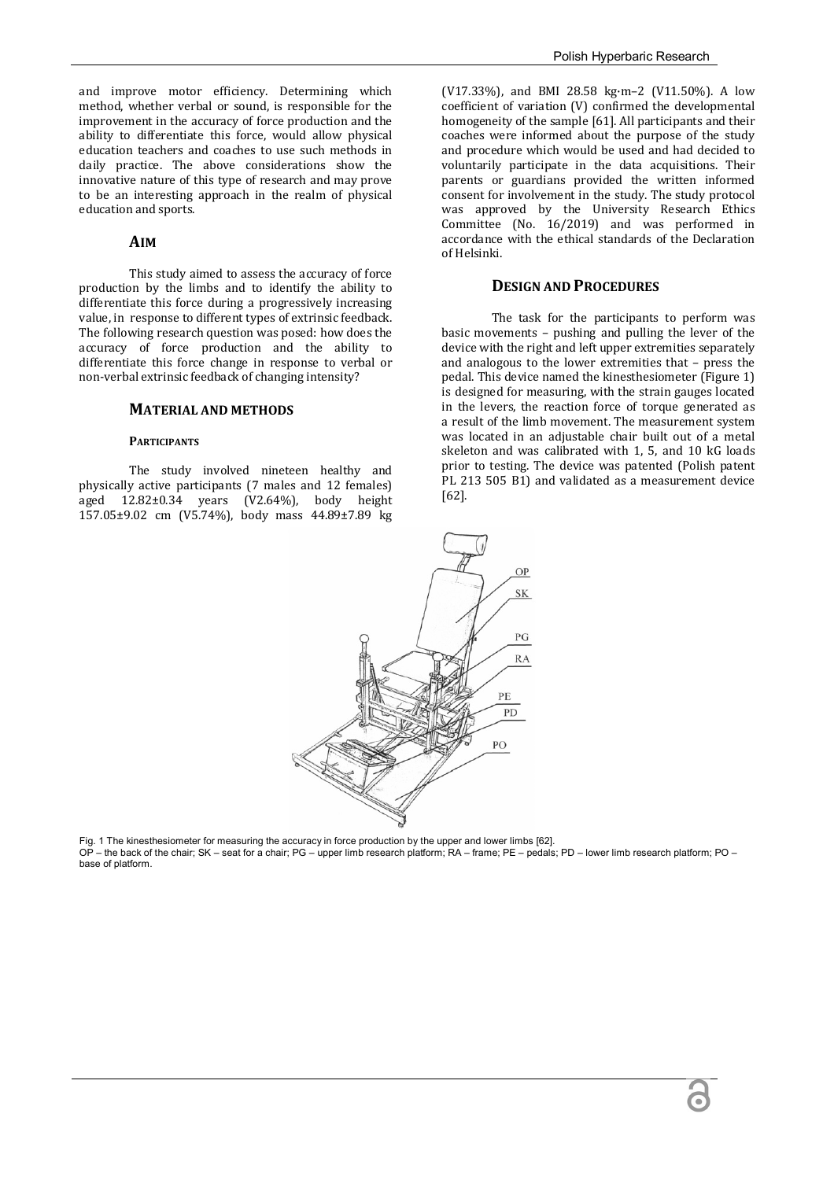and improve motor efficiency. Determining which method, whether verbal or sound, is responsible for the improvement in the accuracy of force production and the ability to differentiate this force, would allow physical education teachers and coaches to use such methods in daily practice. The above considerations show the innovative nature of this type of research and may prove to be an interesting approach in the realm of physical education and sports.

### **AIM**

This study aimed to assess the accuracy of force production by the limbs and to identify the ability to differentiate this force during a progressively increasing value, in response to different types of extrinsic feedback. The following research question was posed: how does the accuracy of force production and the ability to differentiate this force change in response to verbal or non-verbal extrinsic feedback of changing intensity?

#### **MATERIAL AND METHODS**

#### **PARTICIPANTS**

The study involved nineteen healthy and physically active participants (7 males and 12 females) aged  $12.82\pm0.34$  years  $(V2.64\%)$ , body height 157.05±9.02 cm (V5.74%), body mass 44.89±7.89 kg

(V17.33%), and BMI 28.58 kg·m–2 (V11.50%). A low coefficient of variation (V) confirmed the developmental homogeneity of the sample [61]. All participants and their coaches were informed about the purpose of the study and procedure which would be used and had decided to voluntarily participate in the data acquisitions. Their parents or guardians provided the written informed consent for involvement in the study. The study protocol was approved by the University Research Ethics Committee (No. 16/2019) and was performed in accordance with the ethical standards of the Declaration of Helsinki.

#### **DESIGN AND PROCEDURES**

The task for the participants to perform was basic movements – pushing and pulling the lever of the device with the right and left upper extremities separately and analogous to the lower extremities that – press the pedal. This device named the kinesthesiometer (Figure 1) is designed for measuring, with the strain gauges located in the levers, the reaction force of torque generated as a result of the limb movement. The measurement system was located in an adjustable chair built out of a metal skeleton and was calibrated with 1, 5, and 10 kG loads prior to testing. The device was patented (Polish patent PL 213 505 B1) and validated as a measurement device [62].



Fig. 1 The kinesthesiometer for measuring the accuracy in force production by the upper and lower limbs [62]. OP – the back of the chair; SK – seat for a chair; PG – upper limb research platform; RA – frame; PE – pedals; PD – lower limb research platform; PO – base of platform.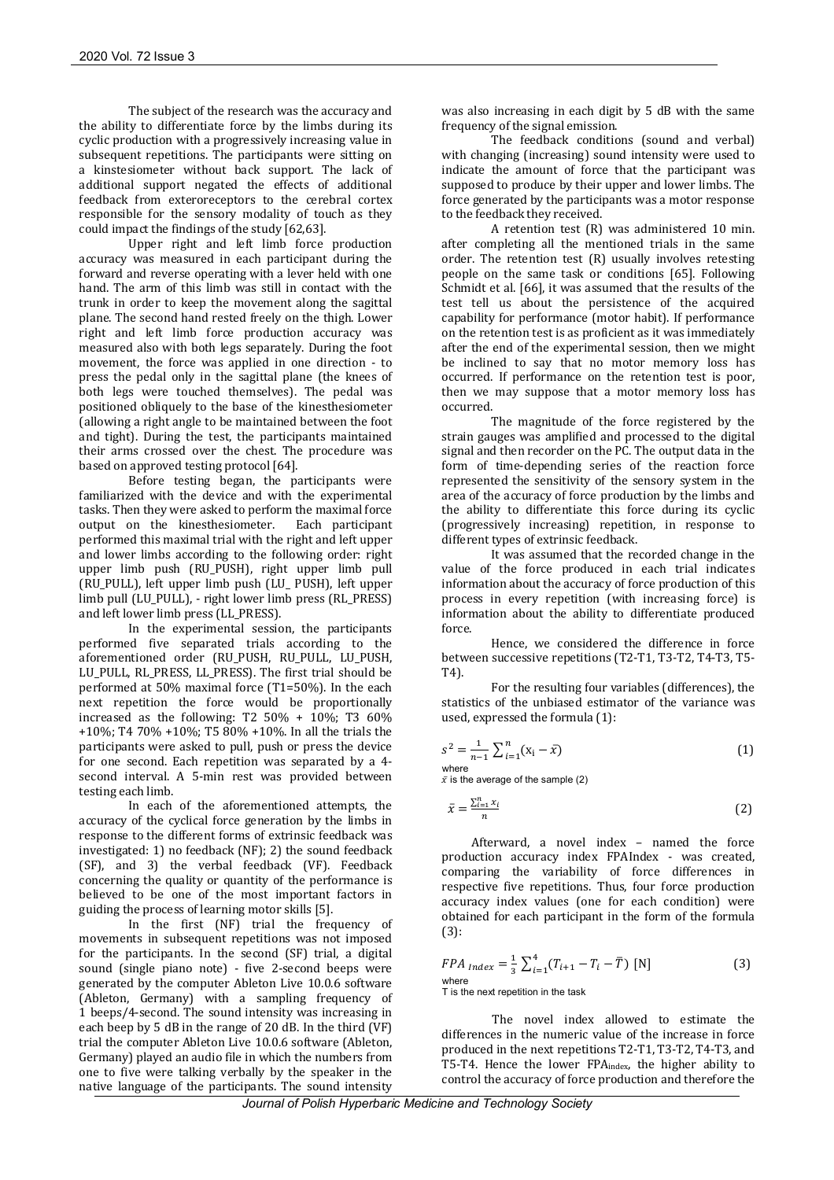The subject of the research was the accuracy and the ability to differentiate force by the limbs during its cyclic production with a progressively increasing value in subsequent repetitions. The participants were sitting on a kinstesiometer without back support. The lack of additional support negated the effects of additional feedback from exteroreceptors to the cerebral cortex responsible for the sensory modality of touch as they could impact the findings of the study [62,63].

Upper right and left limb force production accuracy was measured in each participant during the forward and reverse operating with a lever held with one hand. The arm of this limb was still in contact with the trunk in order to keep the movement along the sagittal plane. The second hand rested freely on the thigh. Lower right and left limb force production accuracy was measured also with both legs separately. During the foot movement, the force was applied in one direction - to press the pedal only in the sagittal plane (the knees of both legs were touched themselves). The pedal was positioned obliquely to the base of the kinesthesiometer (allowing a right angle to be maintained between the foot and tight). During the test, the participants maintained their arms crossed over the chest. The procedure was based on approved testing protocol [64].

Before testing began, the participants were familiarized with the device and with the experimental tasks. Then they were asked to perform the maximal force output on the kinesthesiometer. Each participant performed this maximal trial with the right and left upper and lower limbs according to the following order: right upper limb push (RU\_PUSH), right upper limb pull (RU\_PULL), left upper limb push (LU\_ PUSH), left upper limb pull (LU\_PULL), - right lower limb press (RL\_PRESS) and left lower limb press (LL\_PRESS).

In the experimental session, the participants performed five separated trials according to the aforementioned order (RU\_PUSH, RU\_PULL, LU\_PUSH, LU\_PULL, RL\_PRESS, LL\_PRESS). The first trial should be performed at 50% maximal force (T1=50%). In the each next repetition the force would be proportionally increased as the following: T2  $50\% + 10\%$ ; T3  $60\%$ +10%; T4 70% +10%; T5 80% +10%. In all the trials the participants were asked to pull, push or press the device for one second. Each repetition was separated by a 4 second interval. A 5-min rest was provided between testing each limb.

In each of the aforementioned attempts, the accuracy of the cyclical force generation by the limbs in response to the different forms of extrinsic feedback was investigated: 1) no feedback (NF); 2) the sound feedback (SF), and 3) the verbal feedback (VF). Feedback concerning the quality or quantity of the performance is believed to be one of the most important factors in guiding the process of learning motor skills [5].

In the first (NF) trial the frequency of movements in subsequent repetitions was not imposed for the participants. In the second (SF) trial, a digital sound (single piano note) - five 2-second beeps were generated by the computer Ableton Live 10.0.6 software (Ableton, Germany) with a sampling frequency of 1 beeps/4-second. The sound intensity was increasing in each beep by 5 dB in the range of 20 dB. In the third (VF) trial the computer Ableton Live 10.0.6 software (Ableton, Germany) played an audio file in which the numbers from one to five were talking verbally by the speaker in the native language of the participants. The sound intensity

was also increasing in each digit by 5 dB with the same frequency of the signal emission.

The feedback conditions (sound and verbal) with changing (increasing) sound intensity were used to indicate the amount of force that the participant was supposed to produce by their upper and lower limbs. The force generated by the participants was a motor response to the feedback they received.

A retention test (R) was administered 10 min. after completing all the mentioned trials in the same order. The retention test (R) usually involves retesting people on the same task or conditions [65]. Following Schmidt et al. [66], it was assumed that the results of the test tell us about the persistence of the acquired capability for performance (motor habit). If performance on the retention test is as proficient as it was immediately after the end of the experimental session, then we might be inclined to say that no motor memory loss has occurred. If performance on the retention test is poor, then we may suppose that a motor memory loss has occurred.

The magnitude of the force registered by the strain gauges was amplified and processed to the digital signal and then recorder on the PC. The output data in the form of time-depending series of the reaction force represented the sensitivity of the sensory system in the area of the accuracy of force production by the limbs and the ability to differentiate this force during its cyclic (progressively increasing) repetition, in response to different types of extrinsic feedback.

It was assumed that the recorded change in the value of the force produced in each trial indicates information about the accuracy of force production of this process in every repetition (with increasing force) is information about the ability to differentiate produced force.

Hence, we considered the difference in force between successive repetitions (T2-T1, T3-T2, T4-T3, T5- T4).

For the resulting four variables (differences), the statistics of the unbiased estimator of the variance was used, expressed the formula (1):

$$
s^{2} = \frac{1}{n-1} \sum_{i=1}^{n} (x_{i} - \bar{x})
$$
 (1)

 $\bar{x}$  is the average of the sample (2)

$$
\bar{x} = \frac{\sum_{i=1}^{n} x_i}{n} \tag{2}
$$

Afterward, a novel index – named the force production accuracy index FPAIndex - was created, comparing the variability of force differences in respective five repetitions. Thus, four force production accuracy index values (one for each condition) were obtained for each participant in the form of the formula (3):

$$
FPA_{Index} = \frac{1}{3} \sum_{i=1}^{4} (T_{i+1} - T_i - \overline{T})
$$
 [N] where  
This the next repetition in the task

The novel index allowed to estimate the differences in the numeric value of the increase in force produced in the next repetitions T2-T1, T3-T2, T4-T3, and T5-T4. Hence the lower FPAindex, the higher ability to control the accuracy of force production and therefore the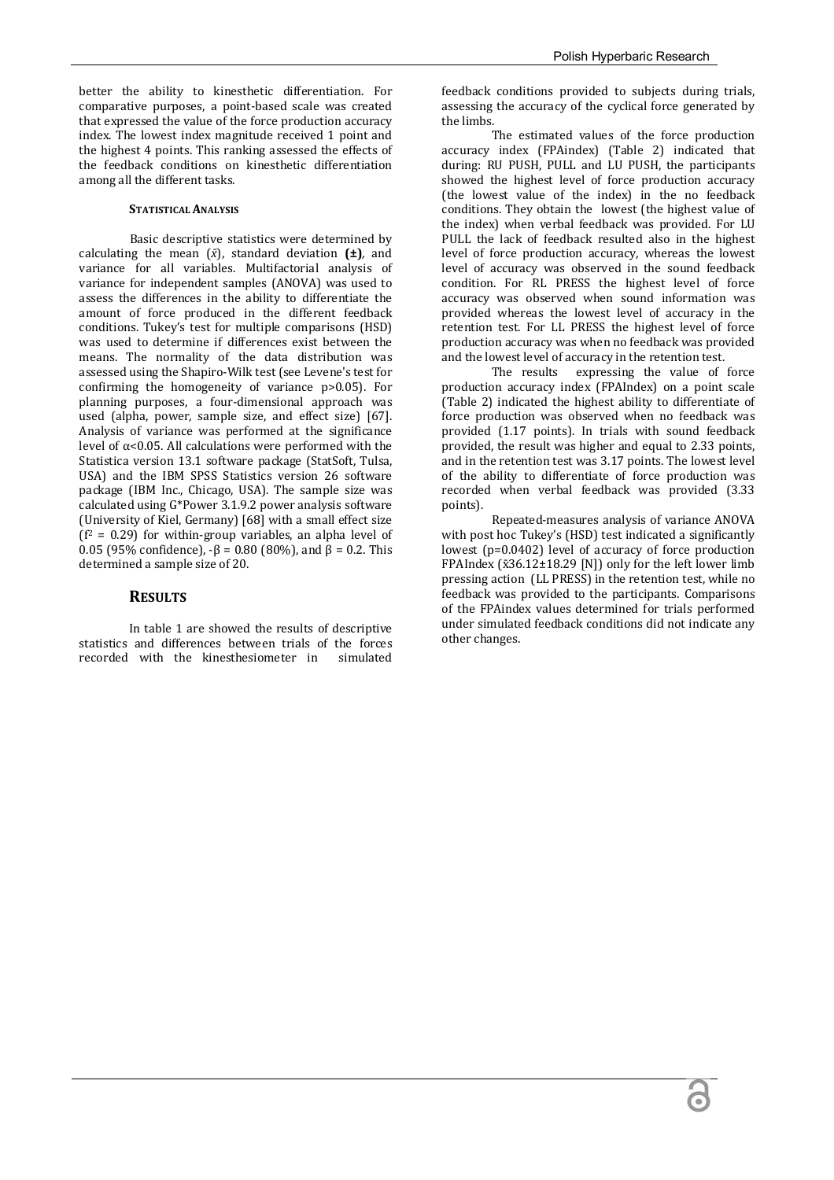better the ability to kinesthetic differentiation. For comparative purposes, a point-based scale was created that expressed the value of the force production accuracy index. The lowest index magnitude received 1 point and the highest 4 points. This ranking assessed the effects of the feedback conditions on kinesthetic differentiation among all the different tasks.

#### **STATISTICAL ANALYSIS**

Basic descriptive statistics were determined by calculating the mean (*x̄*), standard deviation **(±)***,* and variance for all variables. Multifactorial analysis of variance for independent samples (ANOVA) was used to assess the differences in the ability to differentiate the amount of force produced in the different feedback conditions. Tukey's test for multiple comparisons (HSD) was used to determine if differences exist between the means. The normality of the data distribution was assessed using the Shapiro-Wilk test (see Levene's test for confirming the homogeneity of variance p>0.05). For planning purposes, a four-dimensional approach was used (alpha, power, sample size, and effect size) [67]. Analysis of variance was performed at the significance level of  $α < 0.05$ . All calculations were performed with the Statistica version 13.1 software package (StatSoft, Tulsa, USA) and the IBM SPSS Statistics version 26 software package (IBM Inc., Chicago, USA). The sample size was calculated using G\*Power 3.1.9.2 power analysis software (University of Kiel, Germany) [68] with a small effect size  $(f^2 = 0.29)$  for within-group variables, an alpha level of 0.05 (95% confidence),  $-\beta$  = 0.80 (80%), and  $\beta$  = 0.2. This determined a sample size of 20.

#### **RESULTS**

In table 1 are showed the results of descriptive statistics and differences between trials of the forces<br>recorded with the kinesthesiometer in simulated recorded with the kinesthesiometer in

feedback conditions provided to subjects during trials, assessing the accuracy of the cyclical force generated by the limbs.

The estimated values of the force production accuracy index (FPAindex) (Table 2) indicated that during: RU PUSH, PULL and LU PUSH, the participants showed the highest level of force production accuracy (the lowest value of the index) in the no feedback conditions. They obtain the lowest (the highest value of the index) when verbal feedback was provided. For LU PULL the lack of feedback resulted also in the highest level of force production accuracy, whereas the lowest level of accuracy was observed in the sound feedback condition. For RL PRESS the highest level of force accuracy was observed when sound information was provided whereas the lowest level of accuracy in the retention test. For LL PRESS the highest level of force production accuracy was when no feedback was provided and the lowest level of accuracy in the retention test.

The results expressing the value of force production accuracy index (FPAIndex) on a point scale (Table 2) indicated the highest ability to differentiate of force production was observed when no feedback was provided (1.17 points). In trials with sound feedback provided, the result was higher and equal to 2.33 points, and in the retention test was 3.17 points. The lowest level of the ability to differentiate of force production was recorded when verbal feedback was provided (3.33 points).

Repeated-measures analysis of variance ANOVA with post hoc Tukey's (HSD) test indicated a significantly lowest (p=0.0402) level of accuracy of force production FPAIndex ( $\bar{x}$ 36.12±18.29 [N]) only for the left lower limb pressing action (LL PRESS) in the retention test, while no feedback was provided to the participants. Comparisons of the FPAindex values determined for trials performed under simulated feedback conditions did not indicate any other changes.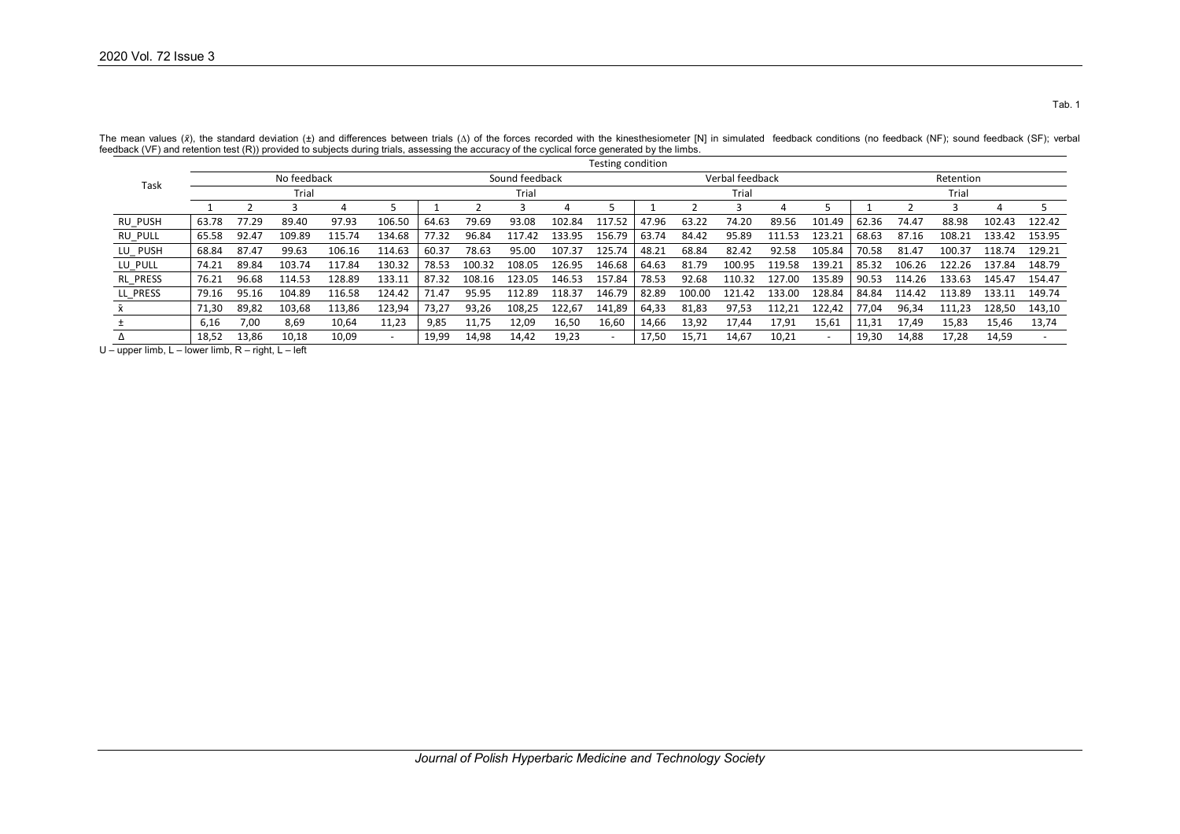| Task       |             |              |                                            |        |        |       |        |                |        | Testing condition |                 |        |        |        |        |       |           |        |        |        |  |
|------------|-------------|--------------|--------------------------------------------|--------|--------|-------|--------|----------------|--------|-------------------|-----------------|--------|--------|--------|--------|-------|-----------|--------|--------|--------|--|
|            | No feedback |              |                                            |        |        |       |        | Sound feedback |        |                   | Verbal feedback |        |        |        |        |       | Retention |        |        |        |  |
|            | Trial       |              |                                            |        |        |       |        | Trial          |        |                   | Trial           |        |        |        |        |       | Trial     |        |        |        |  |
|            |             |              |                                            |        |        |       |        |                |        |                   |                 |        |        |        |        |       |           |        |        |        |  |
| RU PUSH    | 63.78       | 77.29        | 89.40                                      | 97.93  | 106.50 | 64.63 | 79.69  | 93.08          | 102.84 | 117.52            | 47.96           | 63.22  | 74.20  | 89.56  | 101.49 | 62.36 | 74.47     | 88.98  | 102.43 | 122.42 |  |
| RU PULL    | 65.58       | 92.47        | 109.89                                     | 115.74 | 134.68 | 77.32 | 96.84  | 117.42         | 133.95 | 156.79            | 63.74           | 84.42  | 95.89  | 111.53 | 123.21 | 68.63 | 87.16     | 108.21 | 133.42 | 153.95 |  |
| LU_PUSH    | 68.84       | 87.47        | 99.63                                      | 106.16 | 114.63 | 60.37 | 78.63  | 95.00          | 107.37 | 125.74            | 48.21           | 68.84  | 82.42  | 92.58  | 105.84 | 70.58 | 81.47     | 100.37 | 118.74 | 129.21 |  |
| LU_PULL    | 74.21       | 89.84        | 103.74                                     | 117.84 | 130.32 | 78.53 | 100.32 | 108.05         | 126.95 | 146.68            | 64.63           | 81.79  | 100.95 | 119.58 | 139.21 | 85.32 | 106.26    | 122.26 | 137.84 | 148.79 |  |
| RL PRESS   | 76.21       | 96.68        | 114.53                                     | 128.89 | 133.11 | 87.32 | 108.16 | 123.05         | 146.53 | 157.84            | 78.53           | 92.68  | 110.32 | 127.00 | 135.89 | 90.53 | 114.26    | 133.63 | 145.47 | 154.47 |  |
| LL PRESS   | 79.16       | 95.16        | 104.89                                     | 116.58 | 124.42 | 71.47 | 95.95  | 112.89         | 118.37 | 146.79            | 82.89           | 100.00 | 121.42 | 133.00 | 128.84 | 84.84 | 114.42    | 113.89 | 133.11 | 149.74 |  |
| <b>X</b>   | 71,30       | 89,82        | 103.68                                     | 113.86 | 123,94 | 73.27 | 93,26  | 108,25         | 122.67 | 141,89            | 64,33           | 81,83  | 97,53  | 112.21 | 122,42 | 77.04 | 96,34     | 111.23 | 128,50 | 143,10 |  |
|            | 6,16        | 7.00         | 8,69                                       | 10,64  | 11,23  | 9,85  | 11.75  | 12,09          | 16,50  | 16,60             | 14,66           | 13,92  | 17.44  | 17.91  | 15,61  | 11,31 | 17.49     | 15,83  | 15.46  | 13,74  |  |
| Δ          | 18,52       | 13,86        | 10,18                                      | 10,09  |        | 19,99 | 14,98  | 14,42          | 19,23  |                   | 17,50           | 15,71  | 14,67  | 10,21  | $\sim$ | 19,30 | 14,88     | 17,28  | 14,59  |        |  |
| unnor limh | ouar limh   | P<br>riaht I | $I \cap$ <sup><math>\uparrow</math>+</sup> |        |        |       |        |                |        |                   |                 |        |        |        |        |       |           |        |        |        |  |

The mean values (x), the standard deviation (±) and differences between trials (∆) of the forces recorded with the kinesthesiometer [N] in simulated feedback conditions (no feedback (NF); sound feedback (SF); verbal<br>-----

U – upper limb, L – lower limb, R – right, L – left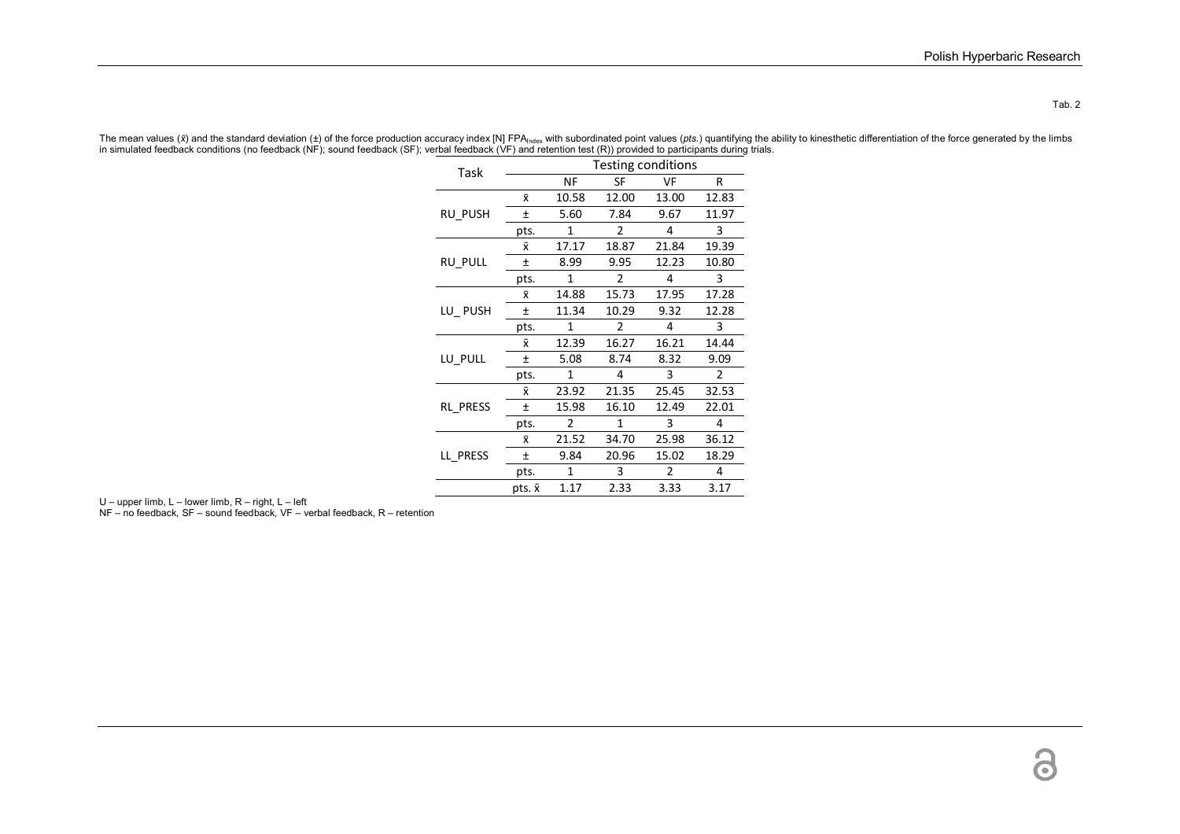Tab. 2

| Task     | Testing conditions |           |               |                |       |  |  |  |  |  |  |
|----------|--------------------|-----------|---------------|----------------|-------|--|--|--|--|--|--|
|          |                    | <b>NF</b> | SF            | VF             | R     |  |  |  |  |  |  |
|          | x                  | 10.58     | 12.00         | 13.00          | 12.83 |  |  |  |  |  |  |
| RU_PUSH  | Ŧ                  | 5.60      | 7.84          | 9.67           | 11.97 |  |  |  |  |  |  |
|          | pts.               | 1         | $\mathcal{P}$ | 4              | 3     |  |  |  |  |  |  |
|          | Ÿ.                 | 17.17     | 18.87         | 21.84          | 19.39 |  |  |  |  |  |  |
| RU PULL  | 土                  | 8.99      | 9.95          | 12.23          | 10.80 |  |  |  |  |  |  |
|          | pts.               | 1         | 2             | 4              | 3     |  |  |  |  |  |  |
|          | Ÿ.                 | 14.88     | 15.73         | 17.95          | 17.28 |  |  |  |  |  |  |
| LU_PUSH  | 土                  | 11.34     | 10.29         | 9.32           | 12.28 |  |  |  |  |  |  |
|          | pts.               | 1         | $\mathfrak z$ | 4              | 3     |  |  |  |  |  |  |
|          | Σv                 | 12.39     | 16.27         | 16.21          | 14.44 |  |  |  |  |  |  |
| LU PULL  | Ŧ                  | 5.08      | 8.74          | 8.32           | 9.09  |  |  |  |  |  |  |
|          | pts.               | 1         | 4             | 3              | 2     |  |  |  |  |  |  |
|          | Χī                 | 23.92     | 21.35         | 25.45          | 32.53 |  |  |  |  |  |  |
| RL PRESS | 土                  | 15.98     | 16.10         | 12.49          | 22.01 |  |  |  |  |  |  |
|          | pts.               | 2         | 1             | 3              | 4     |  |  |  |  |  |  |
|          | Ÿ.                 | 21.52     | 34.70         | 25.98          | 36.12 |  |  |  |  |  |  |
| LL PRESS | Ŧ                  | 9.84      | 20.96         | 15.02          | 18.29 |  |  |  |  |  |  |
|          | pts.               | 1         | 3             | $\overline{2}$ | 4     |  |  |  |  |  |  |
|          | pts. x             | 1.17      | 2.33          | 3.33           | 3.17  |  |  |  |  |  |  |

The mean values (*x*) and the standard deviation (±) of the force production accuracy index [N] FPA<sub>index</sub> with subordinated point values (*pts.* ) quantifying the ability to kinesthetic differentiation of the force genera

U – upper limb, L – lower limb, R – right, L – left NF – no feedback, SF – sound feedback, VF – verbal feedback, R – retention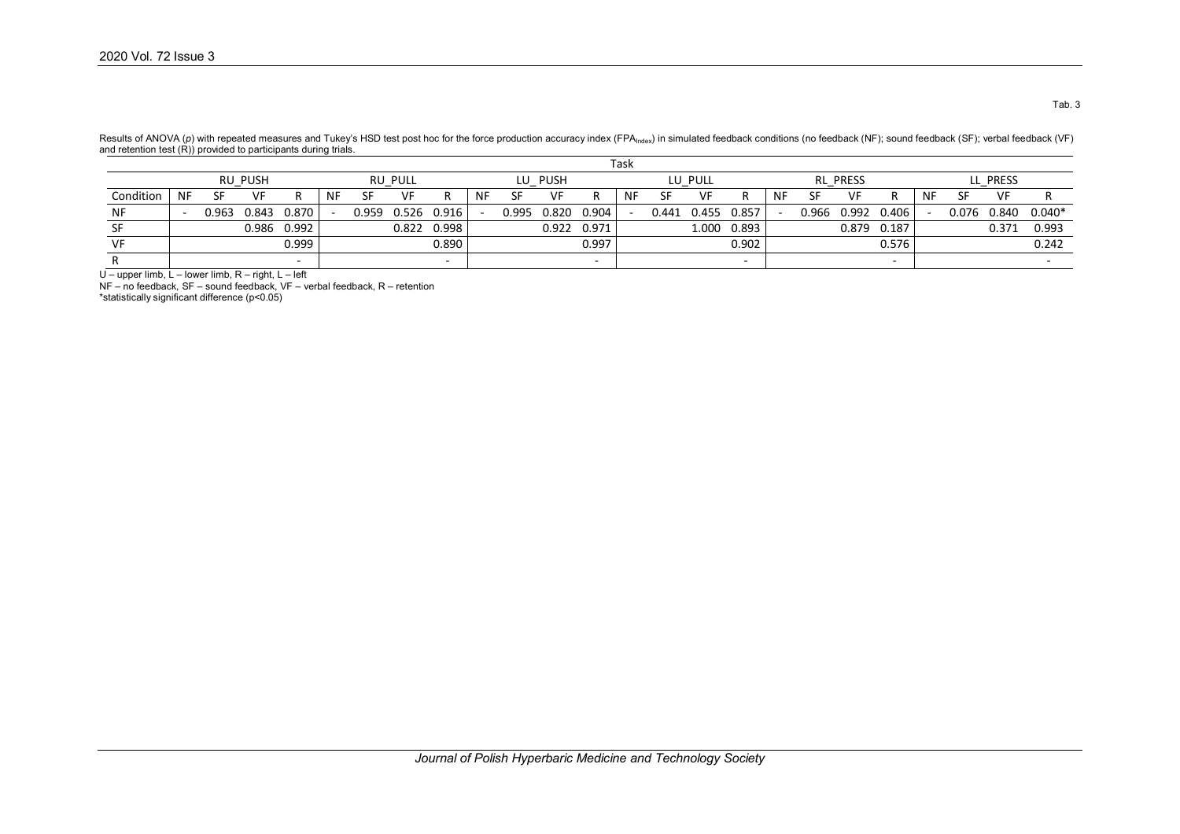|           |                | Task      |       |             |           |                |       |                          |           |            |       |                          |           |         |       |       |    |                 |       |             |           |          |       |          |  |
|-----------|----------------|-----------|-------|-------------|-----------|----------------|-------|--------------------------|-----------|------------|-------|--------------------------|-----------|---------|-------|-------|----|-----------------|-------|-------------|-----------|----------|-------|----------|--|
|           | <b>RU PUSH</b> |           |       |             |           | <b>RU PULL</b> |       |                          |           | PUSH<br>LU |       |                          |           | LU PULL |       |       |    | <b>RL PRESS</b> |       |             |           | LL PRESS |       |          |  |
| Condition | <b>NF</b>      | <b>CE</b> | VF    | R           | <b>NF</b> | SF             | VF    |                          | <b>NF</b> | <b>SF</b>  | VF    | R                        | <b>NF</b> | SF      | VF    |       | NF | SF              | VF    |             | <b>NF</b> | SF       | VF    |          |  |
| NF        |                | 0.963     | 0.843 | 0.870       |           | 0.959          |       | 0.526 0.916              |           | 0.995      | 0.820 | 0.904                    |           | 0.441   | 0.455 | 0.857 |    | 0.966           | 0.992 | 0.406       |           | 0.076    | 0.840 | $0.040*$ |  |
|           |                |           |       | 0.986 0.992 |           |                | 0.822 | 0.998                    |           |            |       | 0.922 0.971              |           |         | 1.000 | 0.893 |    |                 |       | 0.879 0.187 |           |          | 0.371 | 0.993    |  |
| VF        |                |           |       | 0.999       |           |                |       | 0.890                    |           |            |       | 0.997                    |           |         |       | 0.902 |    |                 |       | 0.576       |           |          |       | 0.242    |  |
|           |                |           |       |             |           |                |       | $\overline{\phantom{a}}$ |           |            |       | $\overline{\phantom{0}}$ |           |         |       |       |    |                 |       |             |           |          |       |          |  |

Results of ANOVA (p) with repeated measures and Tukey's HSD test post hoc for the force production accuracy index (FPA<sub>Index</sub>) in simulated feedback conditions (no feedback (NF); sound feedback (SF); verbal feedback (VF) and retention test (R)) provided to participants during trials.

 $U$  – upper limb, L – lower limb, R – right, L – left

NF – no feedback, SF – sound feedback, VF – verbal feedback, R – retention \*statistically significant difference (p<0.05)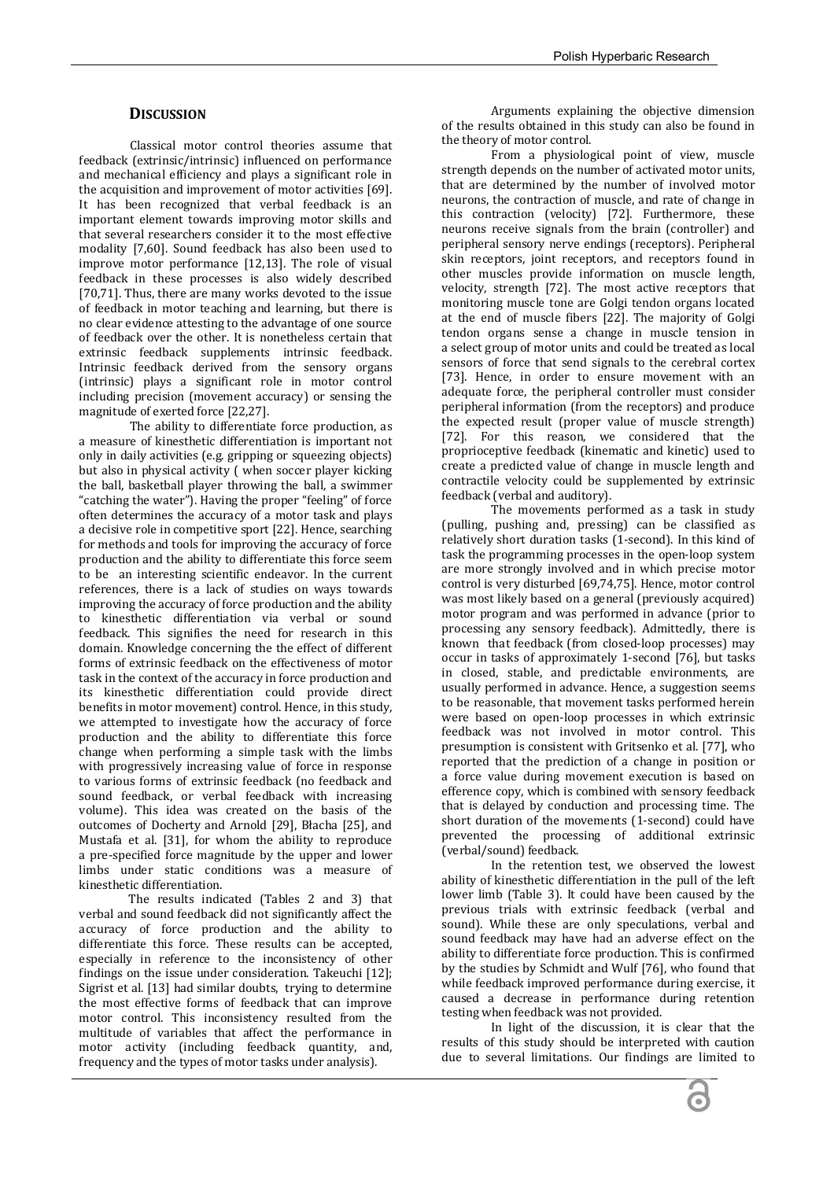#### **DISCUSSION**

Classical motor control theories assume that feedback (extrinsic/intrinsic) influenced on performance and mechanical efficiency and plays a significant role in the acquisition and improvement of motor activities [69]. It has been recognized that verbal feedback is an important element towards improving motor skills and that several researchers consider it to the most effective modality [7,60]. Sound feedback has also been used to improve motor performance [12,13]. The role of visual feedback in these processes is also widely described [70,71]. Thus, there are many works devoted to the issue of feedback in motor teaching and learning, but there is no clear evidence attesting to the advantage of one source of feedback over the other. It is nonetheless certain that extrinsic feedback supplements intrinsic feedback. Intrinsic feedback derived from the sensory organs (intrinsic) plays a significant role in motor control including precision (movement accuracy) or sensing the magnitude of exerted force [22,27].

The ability to differentiate force production, as a measure of kinesthetic differentiation is important not only in daily activities (e.g. gripping or squeezing objects) but also in physical activity ( when soccer player kicking the ball, basketball player throwing the ball, a swimmer "catching the water"). Having the proper "feeling" of force often determines the accuracy of a motor task and plays a decisive role in competitive sport [22]. Hence, searching for methods and tools for improving the accuracy of force production and the ability to differentiate this force seem to be an interesting scientific endeavor. In the current references, there is a lack of studies on ways towards improving the accuracy of force production and the ability to kinesthetic differentiation via verbal or sound feedback. This signifies the need for research in this domain. Knowledge concerning the the effect of different forms of extrinsic feedback on the effectiveness of motor task in the context of the accuracy in force production and its kinesthetic differentiation could provide direct benefits in motor movement) control. Hence, in this study, we attempted to investigate how the accuracy of force production and the ability to differentiate this force change when performing a simple task with the limbs with progressively increasing value of force in response to various forms of extrinsic feedback (no feedback and sound feedback, or verbal feedback with increasing volume). This idea was created on the basis of the outcomes of Docherty and Arnold [29], Błacha [25], and Mustafa et al. [31], for whom the ability to reproduce a pre-specified force magnitude by the upper and lower limbs under static conditions was a measure of kinesthetic differentiation.

The results indicated (Tables 2 and 3) that verbal and sound feedback did not significantly affect the accuracy of force production and the ability to differentiate this force. These results can be accepted, especially in reference to the inconsistency of other findings on the issue under consideration. Takeuchi [12]; Sigrist et al. [13] had similar doubts, trying to determine the most effective forms of feedback that can improve motor control. This inconsistency resulted from the multitude of variables that affect the performance in motor activity (including feedback quantity, and, frequency and the types of motor tasks under analysis).

Arguments explaining the objective dimension of the results obtained in this study can also be found in the theory of motor control.

From a physiological point of view, muscle strength depends on the number of activated motor units, that are determined by the number of involved motor neurons, the contraction of muscle, and rate of change in this contraction (velocity) [72]. Furthermore, these neurons receive signals from the brain (controller) and peripheral sensory nerve endings (receptors). Peripheral skin receptors, joint receptors, and receptors found in other muscles provide information on muscle length, velocity, strength [72]. The most active receptors that monitoring muscle tone are Golgi tendon organs located at the end of muscle fibers [22]. The majority of Golgi tendon organs sense a change in muscle tension in a select group of motor units and could be treated as local sensors of force that send signals to the cerebral cortex [73]. Hence, in order to ensure movement with an adequate force, the peripheral controller must consider peripheral information (from the receptors) and produce the expected result (proper value of muscle strength) [72]. For this reason, we considered that the proprioceptive feedback (kinematic and kinetic) used to create a predicted value of change in muscle length and contractile velocity could be supplemented by extrinsic feedback (verbal and auditory).

The movements performed as a task in study (pulling, pushing and, pressing) can be classified as relatively short duration tasks (1-second). In this kind of task the programming processes in the open-loop system are more strongly involved and in which precise motor control is very disturbed [69,74,75]. Hence, motor control was most likely based on a general (previously acquired) motor program and was performed in advance (prior to processing any sensory feedback). Admittedly, there is known that feedback (from closed-loop processes) may occur in tasks of approximately 1-second [76], but tasks in closed, stable, and predictable environments, are usually performed in advance. Hence, a suggestion seems to be reasonable, that movement tasks performed herein were based on open-loop processes in which extrinsic feedback was not involved in motor control. This presumption is consistent with Gritsenko et al. [77], who reported that the prediction of a change in position or a force value during movement execution is based on efference copy, which is combined with sensory feedback that is delayed by conduction and processing time. The short duration of the movements (1-second) could have prevented the processing of additional extrinsic (verbal/sound) feedback.

In the retention test, we observed the lowest ability of kinesthetic differentiation in the pull of the left lower limb (Table 3). It could have been caused by the previous trials with extrinsic feedback (verbal and sound). While these are only speculations, verbal and sound feedback may have had an adverse effect on the ability to differentiate force production. This is confirmed by the studies by Schmidt and Wulf [76], who found that while feedback improved performance during exercise, it caused a decrease in performance during retention testing when feedback was not provided.

In light of the discussion, it is clear that the results of this study should be interpreted with caution due to several limitations. Our findings are limited to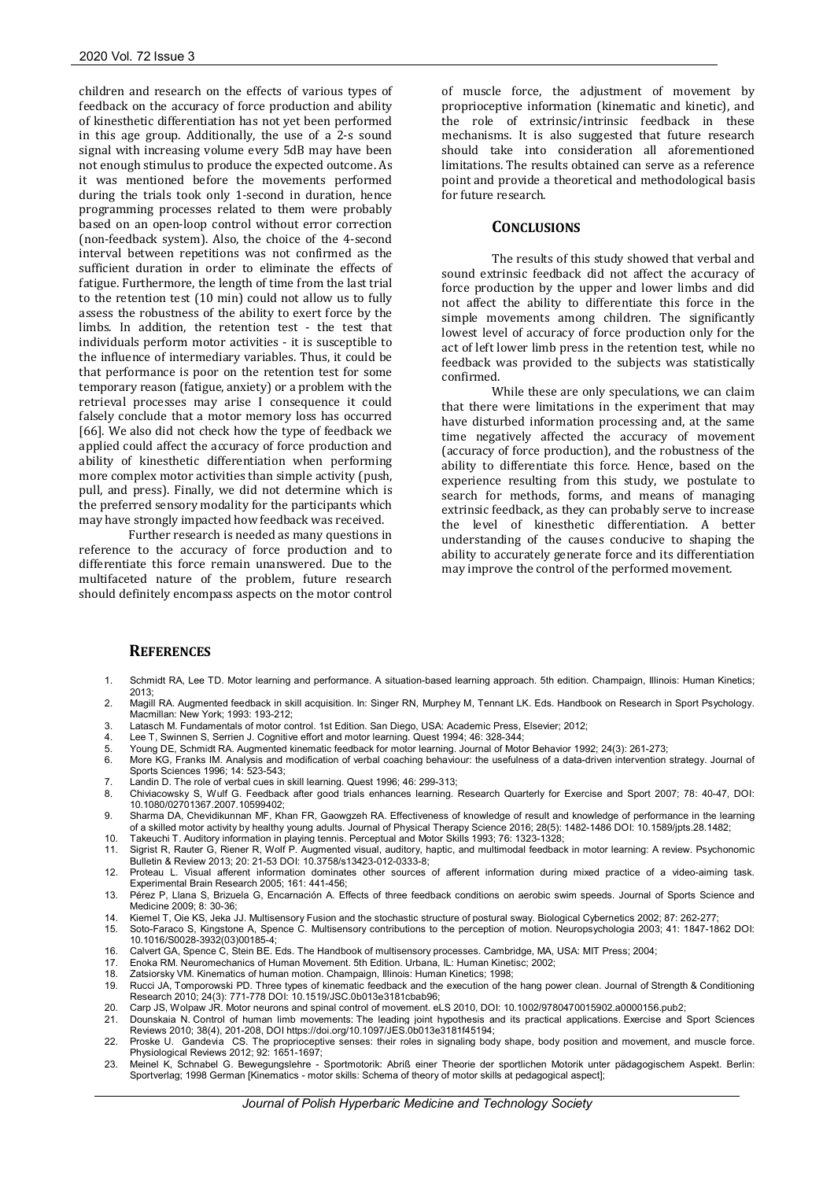children and research on the effects of various types of feedback on the accuracy of force production and ability of kinesthetic differentiation has not yet been performed in this age group. Additionally, the use of a 2-s sound signal with increasing volume every 5dB may have been not enough stimulus to produce the expected outcome. As it was mentioned before the movements performed during the trials took only 1-second in duration, hence programming processes related to them were probably based on an open-loop control without error correction (non-feedback system). Also, the choice of the 4-second interval between repetitions was not confirmed as the sufficient duration in order to eliminate the effects of fatigue. Furthermore, the length of time from the last trial to the retention test (10 min) could not allow us to fully assess the robustness of the ability to exert force by the limbs. In addition, the retention test - the test that individuals perform motor activities - it is susceptible to the influence of intermediary variables. Thus, it could be that performance is poor on the retention test for some temporary reason (fatigue, anxiety) or a problem with the retrieval processes may arise I consequence it could falsely conclude that a motor memory loss has occurred [66]. We also did not check how the type of feedback we applied could affect the accuracy of force production and ability of kinesthetic differentiation when performing more complex motor activities than simple activity (push, pull, and press). Finally, we did not determine which is the preferred sensory modality for the participants which may have strongly impacted how feedback was received.

Further research is needed as many questions in reference to the accuracy of force production and to differentiate this force remain unanswered. Due to the multifaceted nature of the problem, future research should definitely encompass aspects on the motor control of muscle force, the adjustment of movement by proprioceptive information (kinematic and kinetic), and the role of extrinsic/intrinsic feedback in these mechanisms. It is also suggested that future research should take into consideration all aforementioned limitations. The results obtained can serve as a reference point and provide a theoretical and methodological basis for future research.

#### **CONCLUSIONS**

The results of this study showed that verbal and sound extrinsic feedback did not affect the accuracy of force production by the upper and lower limbs and did not affect the ability to differentiate this force in the simple movements among children. The significantly lowest level of accuracy of force production only for the act of left lower limb press in the retention test, while no feedback was provided to the subjects was statistically confirmed.

While these are only speculations, we can claim that there were limitations in the experiment that may have disturbed information processing and, at the same time negatively affected the accuracy of movement (accuracy of force production), and the robustness of the ability to differentiate this force. Hence, based on the experience resulting from this study, we postulate to search for methods, forms, and means of managing extrinsic feedback, as they can probably serve to increase the level of kinesthetic differentiation. A better understanding of the causes conducive to shaping the ability to accurately generate force and its differentiation may improve the control of the performed movement.

#### **REFERENCES**

- 1. Schmidt RA, Lee TD. Motor learning and performance. A situation-based learning approach. 5th edition. Champaign, Illinois: Human Kinetics; 2013;
- 2. Magill RA. Augmented feedback in skill acquisition. In: Singer RN, Murphey M, Tennant LK. Eds. Handbook on Research in Sport Psychology. Macmillan: New York; 1993: 193-212;
- 3. Latasch M. Fundamentals of motor control. 1st Edition. San Diego, USA: Academic Press, Elsevier; 2012;
- 4. Lee T, Swinnen S, Serrien J. Cognitive effort and motor learning. Quest 1994; 46: 328-344;
- 5. Young DE, Schmidt RA. Augmented kinematic feedback for motor learning. Journal of Motor Behavior 1992; 24(3): 261-273;<br>6. More KG, Franks IM. Analysis and modification of verbal coaching behaviour: the usefulness of a Sports Sciences 1996; 14: 523-543;
- 
- 7. Landin D. The role of verbal cues in skill learning. Quest 1996; 46: 299-313; 8. Chiviacowsky S, Wulf G. Feedback after good trials enhances learning. Research Quarterly for Exercise and Sport 2007; 78: 40-47, DOI: 10.1080/02701367.2007.10599402;
- 9. Sharma DA, Chevidikunnan MF, Khan FR, Gaowgzeh RA. Effectiveness of knowledge of result and knowledge of performance in the learning of a skilled motor activity by healthy young adults. Journal of Physical Therapy Science 2016; 28(5): 1482-1486 DOI: 10.1589/jpts.28.1482;
- 
- 10. Takeuchi T. Auditory information in playing tennis. Perceptual and Motor Skills 1993; 76: 1323-1328;<br>11. Sigrist R, Rauter G, Riener R, Wolf P. Augmented visual, auditory, haptic, and multimodal feedback in motor learn Bulletin & Review 2013; 20: 21-53 DOI: 10.3758/s13423-012-0333-8;
- 12. Proteau L. Visual afferent information dominates other sources of afferent information during mixed practice of a video-aiming task. Experimental Brain Research 2005; 161: 441-456;

13. Pérez P, Llana S, Brizuela G, Encarnación A. Effects of three feedback conditions on aerobic swim speeds. Journal of Sports Science and Medicine 2009; 8: 30-36;

- 14. Kiemel T, Oie KS, Jeka JJ. Multisensory Fusion and the stochastic structure of postural sway. Biological Cybernetics 2002; 87: 262-277;<br>15. Soto-Faraco S, Kingstone A, Spence C. Multisensory contributions to the percep 10.1016/S0028-3932(03)00185-4;
- 16. Calvert GA, Spence C, Stein BE. Eds. The Handbook of multisensory processes. Cambridge, MA, USA: MIT Press; 2004;
- 17. Enoka RM. Neuromechanics of Human Movement. 5th Edition. Urbana, IL: Human Kinetisc; 2002;<br>18. Zatsiorsky VM. Kinematics of human motion. Champaign. Illinois: Human Kinetics: 1998;
- 18. Zatsiorsky VM. Kinematics of human motion. Champaign, Illinois: Human Kinetics; 1998;
- 19. Rucci JA, Tomporowski PD. Three types of kinematic feedback and the execution of the hang power clean. Journal of Strength & Conditioning Research 2010; 24(3): 771-778 DOI: 10.1519/JSC.0b013e3181cbab96;
- 20. Carp JS, Wolpaw JR. Motor neurons and spinal control of movement. eLS 2010, DOI: 10.1002/9780470015902.a0000156.pub2;<br>21 Dounskaia N. Control of human limb movements: The leading joint hypothesis and its practical appl
- 21. Dounskaia N. Control of human limb movements: The leading joint hypothesis and its practical applications. Exercise and Sport Sciences Reviews 2010; 38(4), 201-208, DOI https://doi.org/10.1097/JES.0b013e3181f45194;
- 22. Proske U. Gandevia CS. The proprioceptive senses: their roles in signaling body shape, body position and movement, and muscle force. Physiological Reviews 2012; 92: 1651-1697;
- 23. Meinel K, Schnabel G. Bewegungslehre Sportmotorik: Abriß einer Theorie der sportlichen Motorik unter pädagogischem Aspekt. Berlin: Sportverlag; 1998 German [Kinematics - motor skills: Schema of theory of motor skills at pedagogical aspect];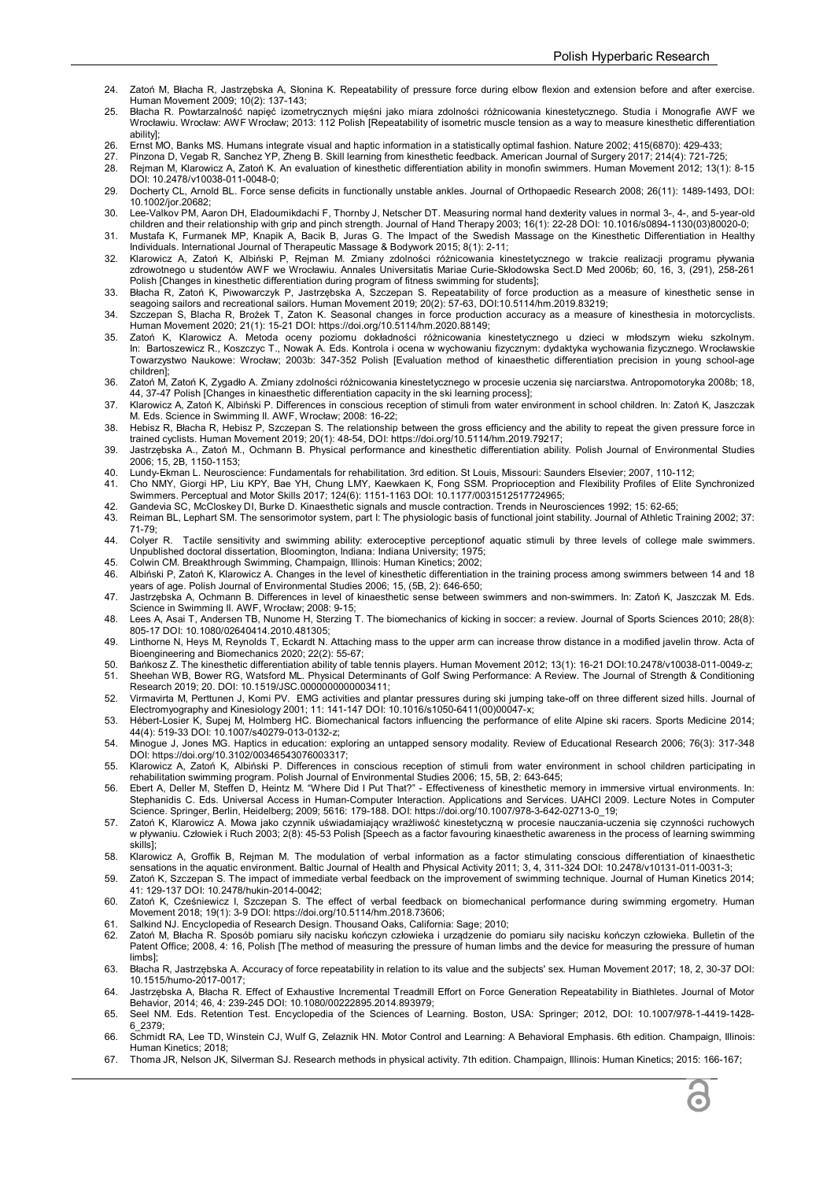- 24. Zatoń M, Błacha R, Jastrzębska A, Słonina K. Repeatability of pressure force during elbow flexion and extension before and after exercise. Human Movement 2009; 10(2): 137-143;
- 25. Błacha R. Powtarzalność napięć izometrycznych mięśni jako miara zdolności różnicowania kinestetycznego. Studia i Monografie AWF we<br>Wrocławiu. Wrocław: AWF Wrocław; 2013: 112 Polish [Repeatability of isometric muscle ability];
- 26. Ernst MO, Banks MS. Humans integrate visual and haptic information in a statistically optimal fashion. Nature 2002; 415(6870): 429-433;
- 27. Pinzona D, Vegab R, Sanchez YP, Zheng B. Skill learning from kinesthetic feedback. American Journal of Surgery 2017; 214(4): 721-725;
- 28. Rejman M, Klarowicz A, Zatoń K. An evaluation of kinesthetic differentiation ability in monofin swimmers. Human Movement 2012; 13(1): 8-15 DOI: 10.2478/v10038-011-0048-0; 29. Docherty CL, Arnold BL. Force sense deficits in functionally unstable ankles. Journal of Orthopaedic Research 2008; 26(11): 1489-1493, DOI:
- 10.1002/jor.20682; 30. Lee-Valkov PM, Aaron DH, Eladoumikdachi F, Thornby J, Netscher DT. Measuring normal hand dexterity values in normal 3-, 4-, and 5-year-old
- children and their relationship with grip and pinch strength. Journal of Hand Therapy 2003; 16(1): 22-28 DOI: 10.1016/s0894-1130(03)80020-0; 31. Mustafa K, Furmanek MP, Knapik A, Bacik B, Juras G. The Impact of the Swedish Massage on the Kinesthetic Differentiation in Healthy
- Individuals. International Journal of Therapeutic Massage & Bodywork 2015; 8(1): 2-11; 32. Klarowicz A, Zatoń K, Albiński P, Rejman M. Zmiany zdolności różnicowania kinestetycznego w trakcie realizacji programu pływania
- zdrowotnego u studentów AWF we Wrocławiu. Annales Universitatis Mariae Curie-Skłodowska Sect.D Med 2006b; 60, 16, 3, (291), 258-261 Polish [Changes in kinesthetic differentiation during program of fitness swimming for students];
- 33. Błacha R, Zatoń K, Piwowarczyk P, Jastrzębska A, Szczepan S. Repeatability of force production as a measure of kinesthetic sense in<br>seagoing sailors and recreational sailors. Human Movement 2019; 20(2): 57-63, DOI:10.5
- 34. Szczepan S, Blacha R, Brożek T, Zaton K. Seasonal changes in force production accuracy as a measure of kinesthesia in motorcyclists. Human Movement 2020; 21(1): 15-21 DOI: https://doi.org/10.5114/hm.2020.88149;
- 35. Zatoń K, Klarowicz A. Metoda oceny poziomu dokładności różnicowania kinestetycznego u dzieci w młodszym wieku szkolnym.<br>In: Bartoszewicz R., Koszczyc T., Nowak A. Eds. Kontrola i ocena w wychowaniu fizycznym: dydaktyka Towarzystwo Naukowe: Wrocław; 2003b: 347-352 Polish [Evaluation method of kinaesthetic differentiation precision in young school-age children];
- 36. Zatoń M, Zatoń K, Zygadło A. Zmiany zdolności różnicowania kinestetycznego w procesie uczenia się narciarstwa. Antropomotoryka 2008b; 18, 44, 37-47 Polish [Changes in kinaesthetic differentiation capacity in the ski learning process];
- 37. Klarowicz A, Zatoń K, Albiński P. Differences in conscious reception of stimuli from water environment in school children. In: Zatoń K, Jaszczak M. Eds. Science in Swimming II. AWF, Wrocław; 2008: 16-22;
- 38. Hebisz R, Błacha R, Hebisz P, Szczepan S. The relationship between the gross efficiency and the ability to repeat the given pressure force in trained cyclists. Human Movement 2019; 20(1): 48-54, DOI: https://doi.org/10.5114/hm.2019.79217;
- 39. Jastrzębska A., Zatoń M., Ochmann B. Physical performance and kinesthetic differentiation ability. Polish Journal of Environmental Studies 2006; 15, 2B, 1150-1153;
- 40. Lundy-Ekman L. Neuroscience: Fundamentals for rehabilitation. 3rd edition. St Louis, Missouri: Saunders Elsevier; 2007, 110-112;
- 41. Cho NMY, Giorgi HP, Liu KPY, Bae YH, Chung LMY, Kaewkaen K, Fong SSM. Proprioception and Flexibility Profiles of Elite Synchronized Swimmers. Perceptual and Motor Skills 2017; 124(6): 1151-1163 DOI: 10.1177/0031512517724965;
- 42. Gandevia SC, McCloskey DI, Burke D. Kinaesthetic signals and muscle contraction. Trends in Neurosciences 1992; 15: 62-65;
- Reiman BL, Lephart SM. The sensorimotor system, part I: The physiologic basis of functional joint stability. Journal of Athletic Training 2002; 37: 71-79;
- 44. Colyer R. Tactile sensitivity and swimming ability: exteroceptive perceptionof aquatic stimuli by three levels of college male swimmers. Unpublished doctoral dissertation, Bloomington, Indiana: Indiana University; 1975;
- 45. Colwin CM. Breakthrough Swimming, Champaign, Illinois: Human Kinetics; 2002;<br>46. Albiński P. Zatoń K. Klarowicz A. Changes in the level of kinesthetic differentiation 46. Albiński P, Zatoń K, Klarowicz A. Changes in the level of kinesthetic differentiation in the training process among swimmers between 14 and 18
- years of age. Polish Journal of Environmental Studies 2006; 15, (5B, 2): 646-650; 47. Jastrzębska A, Ochmann B. Differences in level of kinaesthetic sense between swimmers and non-swimmers. In: Zatoń K, Jaszczak M. Eds.
- Science in Swimming II. AWF, Wrocław; 2008: 9-15; 48. Lees A, Asai T, Andersen TB, Nunome H, Sterzing T. The biomechanics of kicking in soccer: a review. Journal of Sports Sciences 2010; 28(8):
- 805-17 DOI: 10.1080/02640414.2010.481305; 49. Linthorne N, Heys M, Reynolds T, Eckardt N. Attaching mass to the upper arm can increase throw distance in a modified javelin throw. Acta of
- Bioengineering and Biomechanics 2020; 22(2): 55-67;
- 50. Bańkosz Z. The kinesthetic differentiation ability of table tennis players. Human Movement 2012; 13(1): 16-21 DOI:10.2478/v10038-011-0049-z;
- 51. Sheehan WB, Bower RG, Watsford ML. Physical Determinants of Golf Swing Performance: A Review. The Journal of Strength & Conditioning Research 2019; 20. DOI: 10.1519/JSC.0000000000003411;
- 52. Virmavirta M, Perttunen J, Komi PV. EMG activities and plantar pressures during ski jumping take-off on three different sized hills. Journal of Electromyography and Kinesiology 2001; 11: 141-147 DOI: 10.1016/s1050-6411(00)00047-x;
- 53. Hébert-Losier K, Supej M, Holmberg HC. Biomechanical factors influencing the performance of elite Alpine ski racers. Sports Medicine 2014; 44(4): 519-33 DOI: 10.1007/s40279-013-0132-z;
- 54. Minogue J, Jones MG. Haptics in education: exploring an untapped sensory modality. Review of Educational Research 2006; 76(3): 317-348 DOI: https://doi.org/10.3102/00346543076003317;
- 55. Klarowicz A, Zatoń K, Albiński P. Differences in conscious reception of stimuli from water environment in school children participating in
- rehabilitation swimming program. Polish Journal of Environmental Studies 2006; 15, 5B, 2: 643-645;<br>56. Ebert A, Deller M, Steffen D, Heintz M. "Where Did I Put That?" Effectiveness of kinesthetic memory in immersive vi Stephanidis C. Eds. Universal Access in Human-Computer Interaction. Applications and Services. UAHCI 2009. Lecture Notes in Computer<br>Science. Springer, Berlin, Heidelberg; 2009; 5616: 179-188. DOI: https://doi.org/10.1007/
- 57. Zatoń K, Klarowicz A. Mowa jako czynnik uświadamiający wrażliwość kinestetyczną w procesie nauczania-uczenia się czynności ruchowych w pływaniu. Człowiek i Ruch 2003; 2(8): 45-53 Polish [Speech as a factor favouring kinaesthetic awareness in the process of learning swimming skills];
- 58. Klarowicz A, Groffik B, Rejman M. The modulation of verbal information as a factor stimulating conscious differentiation of kinaesthetic sensations in the aquatic environment. Baltic Journal of Health and Physical Activity 2011; 3, 4, 311-324 DOI: 10.2478/v10131-011-0031-3;
- 59. Zatoń K, Szczepan S. The impact of immediate verbal feedback on the improvement of swimming technique. Journal of Human Kinetics 2014; 41: 129-137 DOI: 10.2478/hukin-2014-0042;
- 60. Zatoń K, Cześniewicz I, Szczepan S. The effect of verbal feedback on biomechanical performance during swimming ergometry. Human Movement 2018; 19(1): 3-9 DOI: https://doi.org/10.5114/hm.2018.73606;
- Salkind NJ. Encyclopedia of Research Design. Thousand Oaks, California: Sage; 2010;
- 62. Zatoń M, Błacha R. Sposób pomiaru siły nacisku kończyn człowieka i urządzenie do pomiaru siły nacisku kończyn człowieka. Bulletin of the Patent Office; 2008, 4: 16, Polish [The method of measuring the pressure of human limbs and the device for measuring the pressure of human limbs];
- 63. Błacha R, Jastrzębska A. Accuracy of force repeatability in relation to its value and the subjects' sex. Human Movement 2017; 18, 2, 30-37 DOI: 10.1515/humo-2017-0017;
- 64. Jastrzębska A, Błacha R. Effect of Exhaustive Incremental Treadmill Effort on Force Generation Repeatability in Biathletes. Journal of Motor Behavior, 2014; 46, 4: 239-245 DOI: 10.1080/00222895.2014.893979;
- 65. Seel NM. Eds. Retention Test. Encyclopedia of the Sciences of Learning. Boston, USA: Springer; 2012, DOI: 10.1007/978-1-4419-1428- 6\_2379;
- 66. Schmidt RA, Lee TD, Winstein CJ, Wulf G, Zelaznik HN. Motor Control and Learning: A Behavioral Emphasis. 6th edition. Champaign, Illinois: Human Kinetics; 2018;
- 67. Thoma JR, Nelson JK, Silverman SJ. Research methods in physical activity. 7th edition. Champaign, Illinois: Human Kinetics; 2015: 166-167;